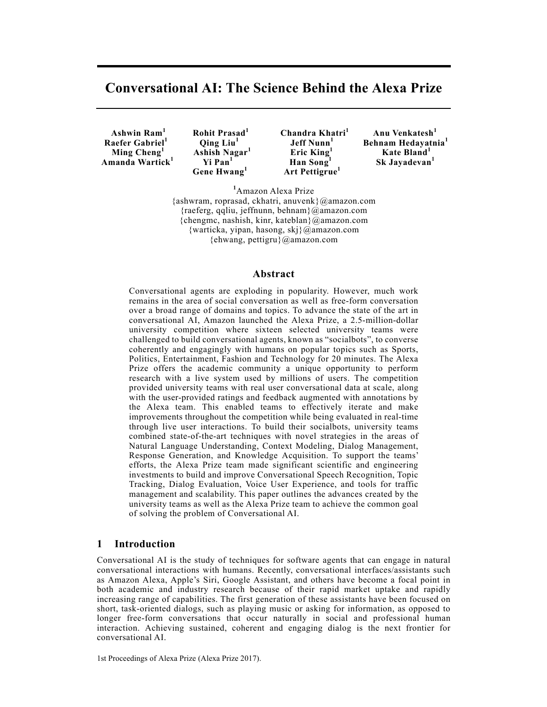# **Conversational AI: The Science Behind the Alexa Prize**

 **Raefer Gabriel<sup>1</sup> Ming Cheng<sup>1</sup> Amanda Wartick<sup>1</sup>**

 **Qing Liu<sup>1</sup> Ashish Nagar<sup>1</sup> Yi Pan<sup>1</sup> Gene Hwang<sup>1</sup>**

 **Ashwin Ram1 Rohit Prasad1 Chandra Khatri1 Jeff Nunn<sup>1</sup> Eric King<sup>1</sup> Han Song<sup>1</sup> Art Pettigrue<sup>1</sup>**

 **Anu Venkatesh<sup>1</sup> Behnam Hedayatnia<sup>1</sup> Kate Bland<sup>1</sup> Sk Jayadevan<sup>1</sup>**

**1** Amazon Alexa Prize {ashwram, roprasad, ckhatri, anuvenk}@amazon.com {raeferg, qqliu, jeffnunn, behnam}@amazon.com  ${chengmc, nashish, kinn, kateblan}$  @amazon.com {warticka, yipan, hasong, skj}@amazon.com {ehwang, pettigru}@amazon.com

### **Abstract**

Conversational agents are exploding in popularity. However, much work remains in the area of social conversation as well as free-form conversation over a broad range of domains and topics. To advance the state of the art in conversational AI, Amazon launched the Alexa Prize, a 2.5-million-dollar university competition where sixteen selected university teams were challenged to build conversational agents, known as "socialbots", to converse coherently and engagingly with humans on popular topics such as Sports, Politics, Entertainment, Fashion and Technology for 20 minutes. The Alexa Prize offers the academic community a unique opportunity to perform research with a live system used by millions of users. The competition provided university teams with real user conversational data at scale, along with the user-provided ratings and feedback augmented with annotations by the Alexa team. This enabled teams to effectively iterate and make improvements throughout the competition while being evaluated in real-time through live user interactions. To build their socialbots, university teams combined state-of-the-art techniques with novel strategies in the areas of Natural Language Understanding, Context Modeling, Dialog Management, Response Generation, and Knowledge Acquisition. To support the teams' efforts, the Alexa Prize team made significant scientific and engineering investments to build and improve Conversational Speech Recognition, Topic Tracking, Dialog Evaluation, Voice User Experience, and tools for traffic management and scalability. This paper outlines the advances created by the university teams as well as the Alexa Prize team to achieve the common goal of solving the problem of Conversational AI.

### **1 Introduction**

Conversational AI is the study of techniques for software agents that can engage in natural conversational interactions with humans. Recently, conversational interfaces/assistants such as Amazon Alexa, Apple's Siri, Google Assistant, and others have become a focal point in both academic and industry research because of their rapid market uptake and rapidly increasing range of capabilities. The first generation of these assistants have been focused on short, task-oriented dialogs, such as playing music or asking for information, as opposed to longer free-form conversations that occur naturally in social and professional human interaction. Achieving sustained, coherent and engaging dialog is the next frontier for conversational AI.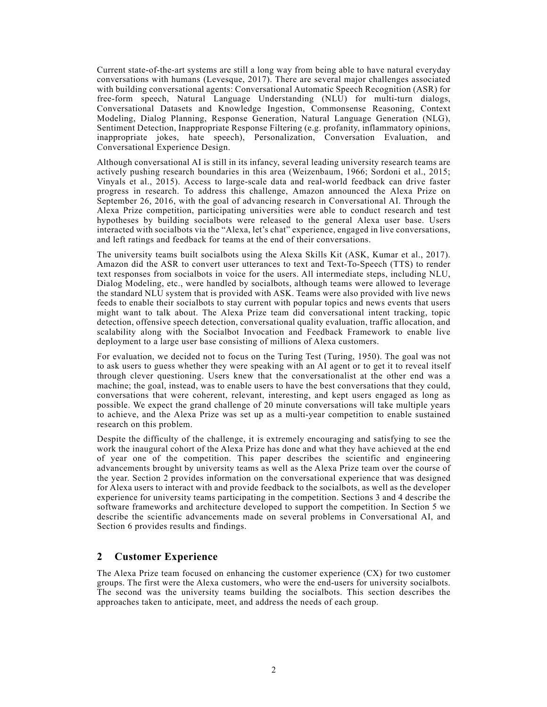Current state-of-the-art systems are still a long way from being able to have natural everyday conversations with humans (Levesque, 2017). There are several major challenges associated with building conversational agents: Conversational Automatic Speech Recognition (ASR) for free-form speech, Natural Language Understanding (NLU) for multi-turn dialogs, Conversational Datasets and Knowledge Ingestion, Commonsense Reasoning, Context Modeling, Dialog Planning, Response Generation, Natural Language Generation (NLG), Sentiment Detection, Inappropriate Response Filtering (e.g. profanity, inflammatory opinions, inappropriate jokes, hate speech), Personalization, Conversation Evaluation, and Conversational Experience Design.

Although conversational AI is still in its infancy, several leading university research teams are actively pushing research boundaries in this area (Weizenbaum, 1966; Sordoni et al., 2015; Vinyals et al., 2015). Access to large-scale data and real-world feedback can drive faster progress in research. To address this challenge, Amazon announced the Alexa Prize on September 26, 2016, with the goal of advancing research in Conversational AI. Through the Alexa Prize competition, participating universities were able to conduct research and test hypotheses by building socialbots were released to the general Alexa user base. Users interacted with socialbots via the "Alexa, let's chat" experience, engaged in live conversations, and left ratings and feedback for teams at the end of their conversations.

The university teams built socialbots using the Alexa Skills Kit (ASK, Kumar et al., 2017). Amazon did the ASR to convert user utterances to text and Text-To-Speech (TTS) to render text responses from socialbots in voice for the users. All intermediate steps, including NLU, Dialog Modeling, etc., were handled by socialbots, although teams were allowed to leverage the standard NLU system that is provided with ASK. Teams were also provided with live news feeds to enable their socialbots to stay current with popular topics and news events that users might want to talk about. The Alexa Prize team did conversational intent tracking, topic detection, offensive speech detection, conversational quality evaluation, traffic allocation, and scalability along with the Socialbot Invocation and Feedback Framework to enable live deployment to a large user base consisting of millions of Alexa customers.

For evaluation, we decided not to focus on the Turing Test (Turing, 1950). The goal was not to ask users to guess whether they were speaking with an AI agent or to get it to reveal itself through clever questioning. Users knew that the conversationalist at the other end was a machine; the goal, instead, was to enable users to have the best conversations that they could, conversations that were coherent, relevant, interesting, and kept users engaged as long as possible. We expect the grand challenge of 20 minute conversations will take multiple years to achieve, and the Alexa Prize was set up as a multi-year competition to enable sustained research on this problem.

Despite the difficulty of the challenge, it is extremely encouraging and satisfying to see the work the inaugural cohort of the Alexa Prize has done and what they have achieved at the end of year one of the competition. This paper describes the scientific and engineering advancements brought by university teams as well as the Alexa Prize team over the course of the year. Section 2 provides information on the conversational experience that was designed for Alexa users to interact with and provide feedback to the socialbots, as well as the developer experience for university teams participating in the competition. Sections 3 and 4 describe the software frameworks and architecture developed to support the competition. In Section 5 we describe the scientific advancements made on several problems in Conversational AI, and Section 6 provides results and findings.

### **2 Customer Experience**

The Alexa Prize team focused on enhancing the customer experience (CX) for two customer groups. The first were the Alexa customers, who were the end-users for university socialbots. The second was the university teams building the socialbots. This section describes the approaches taken to anticipate, meet, and address the needs of each group.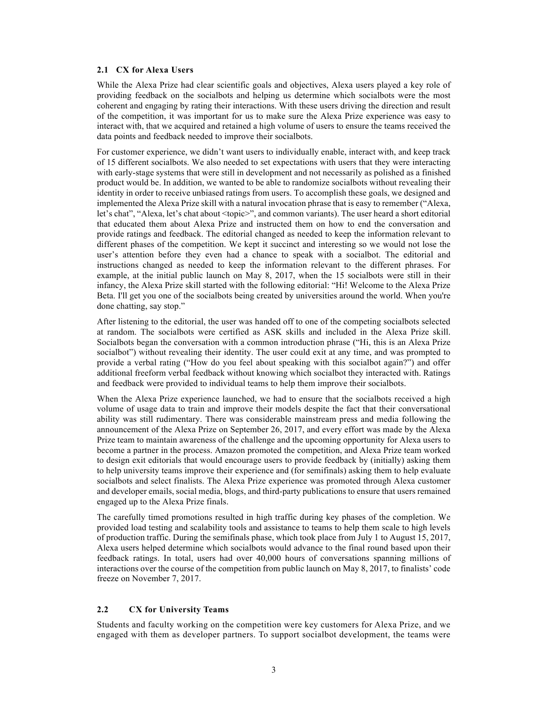#### **2.1 CX for Alexa Users**

While the Alexa Prize had clear scientific goals and objectives, Alexa users played a key role of providing feedback on the socialbots and helping us determine which socialbots were the most coherent and engaging by rating their interactions. With these users driving the direction and result of the competition, it was important for us to make sure the Alexa Prize experience was easy to interact with, that we acquired and retained a high volume of users to ensure the teams received the data points and feedback needed to improve their socialbots.

For customer experience, we didn't want users to individually enable, interact with, and keep track of 15 different socialbots. We also needed to set expectations with users that they were interacting with early-stage systems that were still in development and not necessarily as polished as a finished product would be. In addition, we wanted to be able to randomize socialbots without revealing their identity in order to receive unbiased ratings from users. To accomplish these goals, we designed and implemented the Alexa Prize skill with a natural invocation phrase that is easy to remember ("Alexa, let's chat", "Alexa, let's chat about <topic>", and common variants). The user heard a short editorial that educated them about Alexa Prize and instructed them on how to end the conversation and provide ratings and feedback. The editorial changed as needed to keep the information relevant to different phases of the competition. We kept it succinct and interesting so we would not lose the user's attention before they even had a chance to speak with a socialbot. The editorial and instructions changed as needed to keep the information relevant to the different phrases. For example, at the initial public launch on May 8, 2017, when the 15 socialbots were still in their infancy, the Alexa Prize skill started with the following editorial: "Hi! Welcome to the Alexa Prize Beta. I'll get you one of the socialbots being created by universities around the world. When you're done chatting, say stop."

After listening to the editorial, the user was handed off to one of the competing socialbots selected at random. The socialbots were certified as ASK skills and included in the Alexa Prize skill. Socialbots began the conversation with a common introduction phrase ("Hi, this is an Alexa Prize socialbot") without revealing their identity. The user could exit at any time, and was prompted to provide a verbal rating ("How do you feel about speaking with this socialbot again?") and offer additional freeform verbal feedback without knowing which socialbot they interacted with. Ratings and feedback were provided to individual teams to help them improve their socialbots.

When the Alexa Prize experience launched, we had to ensure that the socialbots received a high volume of usage data to train and improve their models despite the fact that their conversational ability was still rudimentary. There was considerable mainstream press and media following the announcement of the Alexa Prize on September 26, 2017, and every effort was made by the Alexa Prize team to maintain awareness of the challenge and the upcoming opportunity for Alexa users to become a partner in the process. Amazon promoted the competition, and Alexa Prize team worked to design exit editorials that would encourage users to provide feedback by (initially) asking them to help university teams improve their experience and (for semifinals) asking them to help evaluate socialbots and select finalists. The Alexa Prize experience was promoted through Alexa customer and developer emails, social media, blogs, and third-party publications to ensure that users remained engaged up to the Alexa Prize finals.

The carefully timed promotions resulted in high traffic during key phases of the completion. We provided load testing and scalability tools and assistance to teams to help them scale to high levels of production traffic. During the semifinals phase, which took place from July 1 to August 15, 2017, Alexa users helped determine which socialbots would advance to the final round based upon their feedback ratings. In total, users had over 40,000 hours of conversations spanning millions of interactions over the course of the competition from public launch on May 8, 2017, to finalists' code freeze on November 7, 2017.

### **2.2 CX for University Teams**

Students and faculty working on the competition were key customers for Alexa Prize, and we engaged with them as developer partners. To support socialbot development, the teams were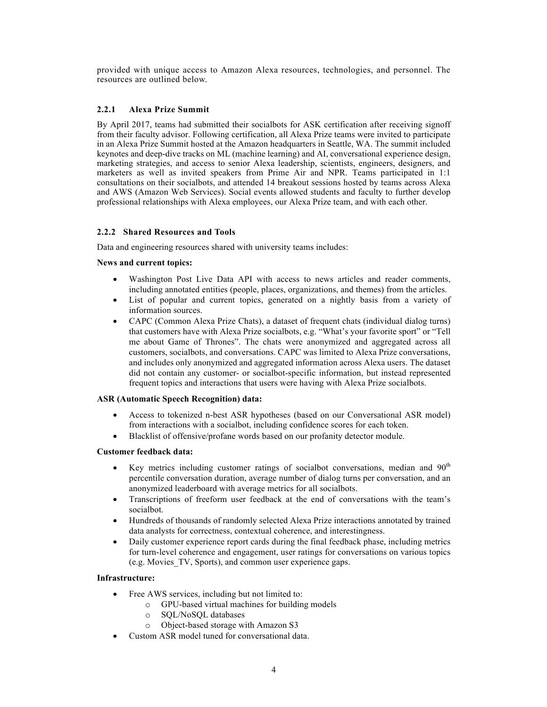provided with unique access to Amazon Alexa resources, technologies, and personnel. The resources are outlined below.

### **2.2.1 Alexa Prize Summit**

By April 2017, teams had submitted their socialbots for ASK certification after receiving signoff from their faculty advisor. Following certification, all Alexa Prize teams were invited to participate in an Alexa Prize Summit hosted at the Amazon headquarters in Seattle, WA. The summit included keynotes and deep-dive tracks on ML (machine learning) and AI, conversational experience design, marketing strategies, and access to senior Alexa leadership, scientists, engineers, designers, and marketers as well as invited speakers from Prime Air and NPR. Teams participated in 1:1 consultations on their socialbots, and attended 14 breakout sessions hosted by teams across Alexa and AWS (Amazon Web Services). Social events allowed students and faculty to further develop professional relationships with Alexa employees, our Alexa Prize team, and with each other.

### **2.2.2 Shared Resources and Tools**

Data and engineering resources shared with university teams includes:

### **News and current topics:**

- Washington Post Live Data API with access to news articles and reader comments, including annotated entities (people, places, organizations, and themes) from the articles.
- List of popular and current topics, generated on a nightly basis from a variety of information sources.
- CAPC (Common Alexa Prize Chats), a dataset of frequent chats (individual dialog turns) that customers have with Alexa Prize socialbots, e.g. "What's your favorite sport" or "Tell me about Game of Thrones". The chats were anonymized and aggregated across all customers, socialbots, and conversations. CAPC was limited to Alexa Prize conversations, and includes only anonymized and aggregated information across Alexa users. The dataset did not contain any customer- or socialbot-specific information, but instead represented frequent topics and interactions that users were having with Alexa Prize socialbots.

### **ASR (Automatic Speech Recognition) data:**

- Access to tokenized n-best ASR hypotheses (based on our Conversational ASR model) from interactions with a socialbot, including confidence scores for each token.
- Blacklist of offensive/profane words based on our profanity detector module.

### **Customer feedback data:**

- Key metrics including customer ratings of socialbot conversations, median and  $90<sup>th</sup>$ percentile conversation duration, average number of dialog turns per conversation, and an anonymized leaderboard with average metrics for all socialbots.
- Transcriptions of freeform user feedback at the end of conversations with the team's socialbot.
- Hundreds of thousands of randomly selected Alexa Prize interactions annotated by trained data analysts for correctness, contextual coherence, and interestingness.
- Daily customer experience report cards during the final feedback phase, including metrics for turn-level coherence and engagement, user ratings for conversations on various topics (e.g. Movies\_TV, Sports), and common user experience gaps.

### **Infrastructure:**

- Free AWS services, including but not limited to:
	- o GPU-based virtual machines for building models
	- o SQL/NoSQL databases
	- o Object-based storage with Amazon S3
- Custom ASR model tuned for conversational data.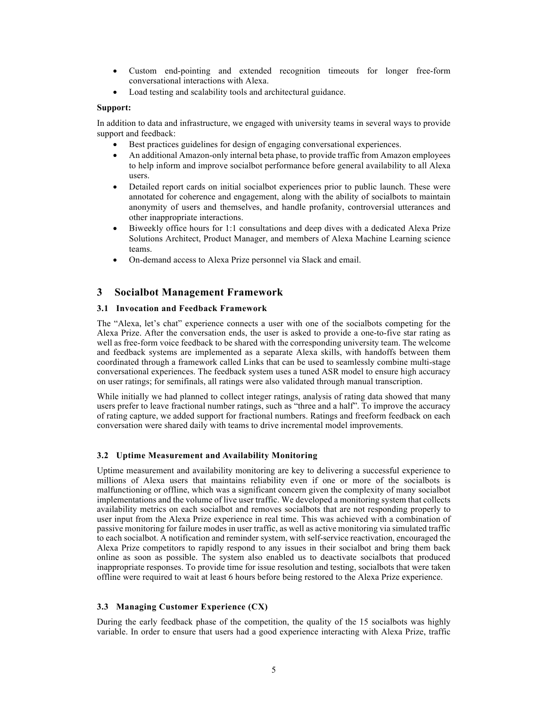- Custom end-pointing and extended recognition timeouts for longer free-form conversational interactions with Alexa.
- Load testing and scalability tools and architectural guidance.

#### **Support:**

In addition to data and infrastructure, we engaged with university teams in several ways to provide support and feedback:

- Best practices guidelines for design of engaging conversational experiences.
- An additional Amazon-only internal beta phase, to provide traffic from Amazon employees to help inform and improve socialbot performance before general availability to all Alexa users.
- Detailed report cards on initial socialbot experiences prior to public launch. These were annotated for coherence and engagement, along with the ability of socialbots to maintain anonymity of users and themselves, and handle profanity, controversial utterances and other inappropriate interactions.
- Biweekly office hours for 1:1 consultations and deep dives with a dedicated Alexa Prize Solutions Architect, Product Manager, and members of Alexa Machine Learning science teams.
- On-demand access to Alexa Prize personnel via Slack and email.

### **3 Socialbot Management Framework**

#### **3.1 Invocation and Feedback Framework**

The "Alexa, let's chat" experience connects a user with one of the socialbots competing for the Alexa Prize. After the conversation ends, the user is asked to provide a one-to-five star rating as well as free-form voice feedback to be shared with the corresponding university team. The welcome and feedback systems are implemented as a separate Alexa skills, with handoffs between them coordinated through a framework called Links that can be used to seamlessly combine multi-stage conversational experiences. The feedback system uses a tuned ASR model to ensure high accuracy on user ratings; for semifinals, all ratings were also validated through manual transcription.

While initially we had planned to collect integer ratings, analysis of rating data showed that many users prefer to leave fractional number ratings, such as "three and a half". To improve the accuracy of rating capture, we added support for fractional numbers. Ratings and freeform feedback on each conversation were shared daily with teams to drive incremental model improvements.

### **3.2 Uptime Measurement and Availability Monitoring**

Uptime measurement and availability monitoring are key to delivering a successful experience to millions of Alexa users that maintains reliability even if one or more of the socialbots is malfunctioning or offline, which was a significant concern given the complexity of many socialbot implementations and the volume of live user traffic. We developed a monitoring system that collects availability metrics on each socialbot and removes socialbots that are not responding properly to user input from the Alexa Prize experience in real time. This was achieved with a combination of passive monitoring for failure modes in user traffic, as well as active monitoring via simulated traffic to each socialbot. A notification and reminder system, with self-service reactivation, encouraged the Alexa Prize competitors to rapidly respond to any issues in their socialbot and bring them back online as soon as possible. The system also enabled us to deactivate socialbots that produced inappropriate responses. To provide time for issue resolution and testing, socialbots that were taken offline were required to wait at least 6 hours before being restored to the Alexa Prize experience.

### **3.3 Managing Customer Experience (CX)**

During the early feedback phase of the competition, the quality of the 15 socialbots was highly variable. In order to ensure that users had a good experience interacting with Alexa Prize, traffic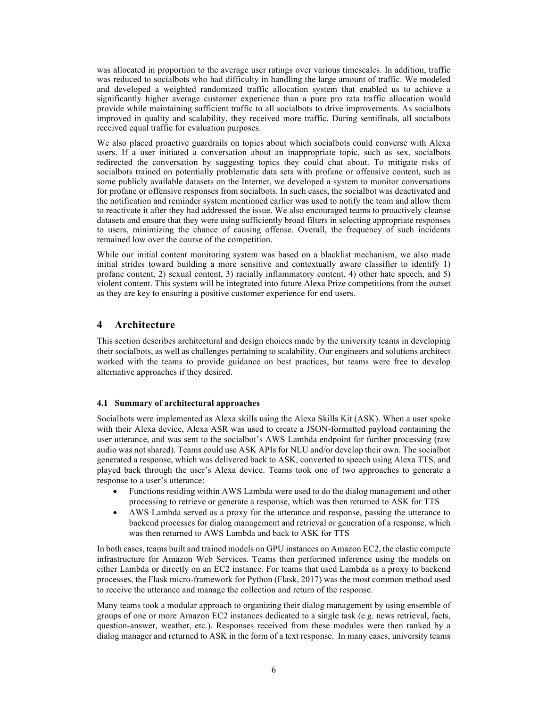was allocated in proportion to the average user ratings over various timescales. In addition, traffic was reduced to socialbots who had difficulty in handling the large amount of traffic. We modeled and developed a weighted randomized traffic allocation system that enabled us to achieve a significantly higher average customer experience than a pure pro rata traffic allocation would provide while maintaining sufficient traffic to all socialbots to drive improvements. As socialbots improved in quality and scalability, they received more traffic. During semifinals, all socialbots received equal traffic for evaluation purposes.

We also placed proactive guardrails on topics about which socialbots could converse with Alexa users. If a user initiated a conversation about an inappropriate topic, such as sex, socialbots redirected the conversation by suggesting topics they could chat about. To mitigate risks of socialbots trained on potentially problematic data sets with profane or offensive content, such as some publicly available datasets on the Internet, we developed a system to monitor conversations for profane or offensive responses from socialbots. In such cases, the socialbot was deactivated and the notification and reminder system mentioned earlier was used to notify the team and allow them to reactivate it after they had addressed the issue. We also encouraged teams to proactively cleanse datasets and ensure that they were using sufficiently broad filters in selecting appropriate responses to users, minimizing the chance of causing offense. Overall, the frequency of such incidents remained low over the course of the competition.

While our initial content monitoring system was based on a blacklist mechanism, we also made initial strides toward building a more sensitive and contextually aware classifier to identify 1) profane content, 2) sexual content, 3) racially inflammatory content, 4) other hate speech, and 5) violent content. This system will be integrated into future Alexa Prize competitions from the outset as they are key to ensuring a positive customer experience for end users.

## **4 Architecture**

This section describes architectural and design choices made by the university teams in developing their socialbots, as well as challenges pertaining to scalability. Our engineers and solutions architect worked with the teams to provide guidance on best practices, but teams were free to develop alternative approaches if they desired.

### **4.1 Summary of architectural approaches**

Socialbots were implemented as Alexa skills using the Alexa Skills Kit (ASK). When a user spoke with their Alexa device, Alexa ASR was used to create a JSON-formatted payload containing the user utterance, and was sent to the socialbot's AWS Lambda endpoint for further processing (raw audio was not shared). Teams could use ASK APIs for NLU and/or develop their own. The socialbot generated a response, which was delivered back to ASK, converted to speech using Alexa TTS, and played back through the user's Alexa device. Teams took one of two approaches to generate a response to a user's utterance:

- Functions residing within AWS Lambda were used to do the dialog management and other processing to retrieve or generate a response, which was then returned to ASK for TTS
- AWS Lambda served as a proxy for the utterance and response, passing the utterance to backend processes for dialog management and retrieval or generation of a response, which was then returned to AWS Lambda and back to ASK for TTS

In both cases, teams built and trained models on GPU instances on Amazon EC2, the elastic compute infrastructure for Amazon Web Services. Teams then performed inference using the models on either Lambda or directly on an EC2 instance. For teams that used Lambda as a proxy to backend processes, the Flask micro-framework for Python (Flask, 2017) was the most common method used to receive the utterance and manage the collection and return of the response.

Many teams took a modular approach to organizing their dialog management by using ensemble of groups of one or more Amazon EC2 instances dedicated to a single task (e.g. news retrieval, facts, question-answer, weather, etc.). Responses received from these modules were then ranked by a dialog manager and returned to ASK in the form of a text response. In many cases, university teams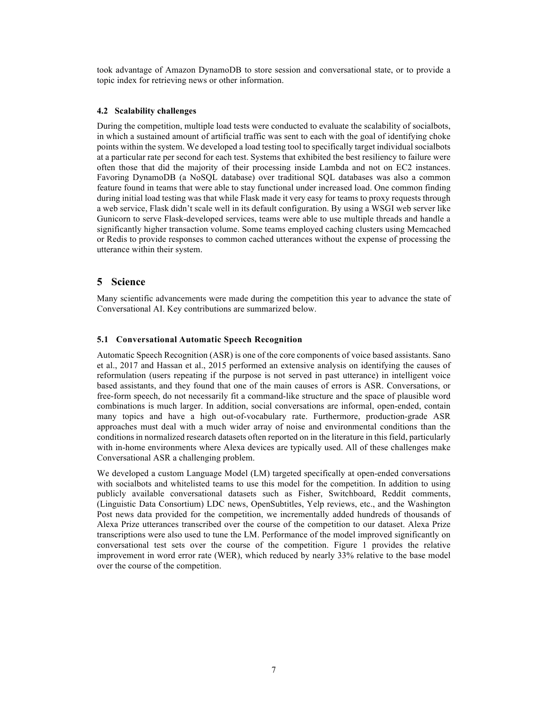took advantage of Amazon DynamoDB to store session and conversational state, or to provide a topic index for retrieving news or other information.

#### **4.2 Scalability challenges**

During the competition, multiple load tests were conducted to evaluate the scalability of socialbots, in which a sustained amount of artificial traffic was sent to each with the goal of identifying choke points within the system. We developed a load testing tool to specifically target individual socialbots at a particular rate per second for each test. Systems that exhibited the best resiliency to failure were often those that did the majority of their processing inside Lambda and not on EC2 instances. Favoring DynamoDB (a NoSQL database) over traditional SQL databases was also a common feature found in teams that were able to stay functional under increased load. One common finding during initial load testing was that while Flask made it very easy for teams to proxy requests through a web service, Flask didn't scale well in its default configuration. By using a WSGI web server like Gunicorn to serve Flask-developed services, teams were able to use multiple threads and handle a significantly higher transaction volume. Some teams employed caching clusters using Memcached or Redis to provide responses to common cached utterances without the expense of processing the utterance within their system.

### **5 Science**

Many scientific advancements were made during the competition this year to advance the state of Conversational AI. Key contributions are summarized below.

### **5.1 Conversational Automatic Speech Recognition**

Automatic Speech Recognition (ASR) is one of the core components of voice based assistants. Sano et al., 2017 and Hassan et al., 2015 performed an extensive analysis on identifying the causes of reformulation (users repeating if the purpose is not served in past utterance) in intelligent voice based assistants, and they found that one of the main causes of errors is ASR. Conversations, or free-form speech, do not necessarily fit a command-like structure and the space of plausible word combinations is much larger. In addition, social conversations are informal, open-ended, contain many topics and have a high out-of-vocabulary rate. Furthermore, production-grade ASR approaches must deal with a much wider array of noise and environmental conditions than the conditions in normalized research datasets often reported on in the literature in this field, particularly with in-home environments where Alexa devices are typically used. All of these challenges make Conversational ASR a challenging problem.

We developed a custom Language Model (LM) targeted specifically at open-ended conversations with socialbots and whitelisted teams to use this model for the competition. In addition to using publicly available conversational datasets such as Fisher, Switchboard, Reddit comments, (Linguistic Data Consortium) LDC news, OpenSubtitles, Yelp reviews, etc., and the Washington Post news data provided for the competition, we incrementally added hundreds of thousands of Alexa Prize utterances transcribed over the course of the competition to our dataset. Alexa Prize transcriptions were also used to tune the LM. Performance of the model improved significantly on conversational test sets over the course of the competition. Figure 1 provides the relative improvement in word error rate (WER), which reduced by nearly 33% relative to the base model over the course of the competition.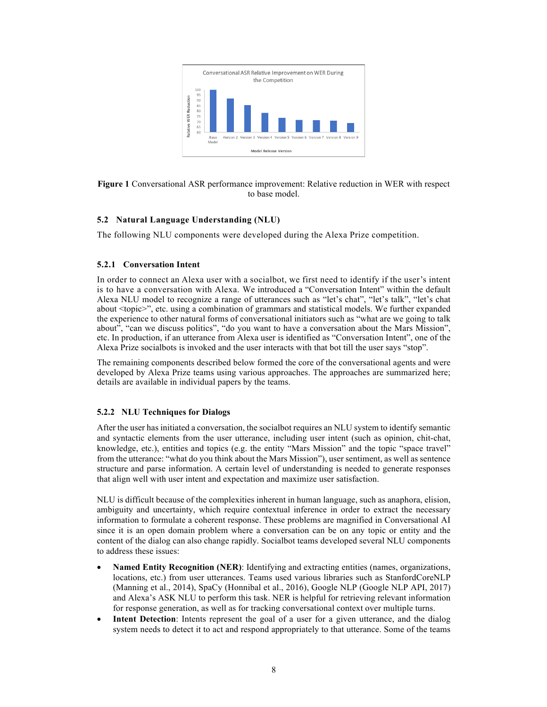

**Figure 1** Conversational ASR performance improvement: Relative reduction in WER with respect to base model.

### **5.2 Natural Language Understanding (NLU)**

The following NLU components were developed during the Alexa Prize competition.

### **5.2.1 Conversation Intent**

In order to connect an Alexa user with a socialbot, we first need to identify if the user's intent is to have a conversation with Alexa. We introduced a "Conversation Intent" within the default Alexa NLU model to recognize a range of utterances such as "let's chat", "let's talk", "let's chat about <topic>", etc. using a combination of grammars and statistical models. We further expanded the experience to other natural forms of conversational initiators such as "what are we going to talk about", "can we discuss politics", "do you want to have a conversation about the Mars Mission", etc. In production, if an utterance from Alexa user is identified as "Conversation Intent", one of the Alexa Prize socialbots is invoked and the user interacts with that bot till the user says "stop".

The remaining components described below formed the core of the conversational agents and were developed by Alexa Prize teams using various approaches. The approaches are summarized here; details are available in individual papers by the teams.

### **5.2.2 NLU Techniques for Dialogs**

After the user has initiated a conversation, the socialbot requires an NLU system to identify semantic and syntactic elements from the user utterance, including user intent (such as opinion, chit-chat, knowledge, etc.), entities and topics (e.g. the entity "Mars Mission" and the topic "space travel" from the utterance: "what do you think about the Mars Mission"), user sentiment, as well as sentence structure and parse information. A certain level of understanding is needed to generate responses that align well with user intent and expectation and maximize user satisfaction.

NLU is difficult because of the complexities inherent in human language, such as anaphora, elision, ambiguity and uncertainty, which require contextual inference in order to extract the necessary information to formulate a coherent response. These problems are magnified in Conversational AI since it is an open domain problem where a conversation can be on any topic or entity and the content of the dialog can also change rapidly. Socialbot teams developed several NLU components to address these issues:

- **Named Entity Recognition (NER)**: Identifying and extracting entities (names, organizations, locations, etc.) from user utterances. Teams used various libraries such as StanfordCoreNLP (Manning et al., 2014), SpaCy (Honnibal et al., 2016), Google NLP (Google NLP API, 2017) and Alexa's ASK NLU to perform this task. NER is helpful for retrieving relevant information for response generation, as well as for tracking conversational context over multiple turns.
- **Intent Detection**: Intents represent the goal of a user for a given utterance, and the dialog system needs to detect it to act and respond appropriately to that utterance. Some of the teams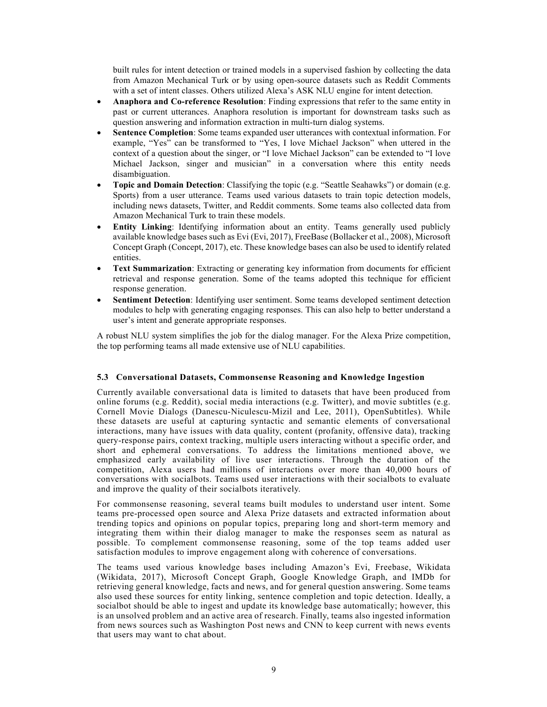built rules for intent detection or trained models in a supervised fashion by collecting the data from Amazon Mechanical Turk or by using open-source datasets such as Reddit Comments with a set of intent classes. Others utilized Alexa's ASK NLU engine for intent detection.

- **Anaphora and Co-reference Resolution**: Finding expressions that refer to the same entity in past or current utterances. Anaphora resolution is important for downstream tasks such as question answering and information extraction in multi-turn dialog systems.
- **Sentence Completion**: Some teams expanded user utterances with contextual information. For example, "Yes" can be transformed to "Yes, I love Michael Jackson" when uttered in the context of a question about the singer, or "I love Michael Jackson" can be extended to "I love Michael Jackson, singer and musician" in a conversation where this entity needs disambiguation.
- **Topic and Domain Detection**: Classifying the topic (e.g. "Seattle Seahawks") or domain (e.g. Sports) from a user utterance. Teams used various datasets to train topic detection models, including news datasets, Twitter, and Reddit comments. Some teams also collected data from Amazon Mechanical Turk to train these models.
- **Entity Linking**: Identifying information about an entity. Teams generally used publicly available knowledge bases such as Evi (Evi, 2017), FreeBase (Bollacker et al., 2008), Microsoft Concept Graph (Concept, 2017), etc. These knowledge bases can also be used to identify related entities.
- **Text Summarization**: Extracting or generating key information from documents for efficient retrieval and response generation. Some of the teams adopted this technique for efficient response generation.
- **Sentiment Detection**: Identifying user sentiment. Some teams developed sentiment detection modules to help with generating engaging responses. This can also help to better understand a user's intent and generate appropriate responses.

A robust NLU system simplifies the job for the dialog manager. For the Alexa Prize competition, the top performing teams all made extensive use of NLU capabilities.

### **5.3 Conversational Datasets, Commonsense Reasoning and Knowledge Ingestion**

Currently available conversational data is limited to datasets that have been produced from online forums (e.g. Reddit), social media interactions (e.g. Twitter), and movie subtitles (e.g. Cornell Movie Dialogs (Danescu-Niculescu-Mizil and Lee, 2011), OpenSubtitles). While these datasets are useful at capturing syntactic and semantic elements of conversational interactions, many have issues with data quality, content (profanity, offensive data), tracking query-response pairs, context tracking, multiple users interacting without a specific order, and short and ephemeral conversations. To address the limitations mentioned above, we emphasized early availability of live user interactions. Through the duration of the competition, Alexa users had millions of interactions over more than 40,000 hours of conversations with socialbots. Teams used user interactions with their socialbots to evaluate and improve the quality of their socialbots iteratively.

For commonsense reasoning, several teams built modules to understand user intent. Some teams pre-processed open source and Alexa Prize datasets and extracted information about trending topics and opinions on popular topics, preparing long and short-term memory and integrating them within their dialog manager to make the responses seem as natural as possible. To complement commonsense reasoning, some of the top teams added user satisfaction modules to improve engagement along with coherence of conversations.

The teams used various knowledge bases including Amazon's Evi, Freebase, Wikidata (Wikidata, 2017), Microsoft Concept Graph, Google Knowledge Graph, and IMDb for retrieving general knowledge, facts and news, and for general question answering. Some teams also used these sources for entity linking, sentence completion and topic detection. Ideally, a socialbot should be able to ingest and update its knowledge base automatically; however, this is an unsolved problem and an active area of research. Finally, teams also ingested information from news sources such as Washington Post news and CNN to keep current with news events that users may want to chat about.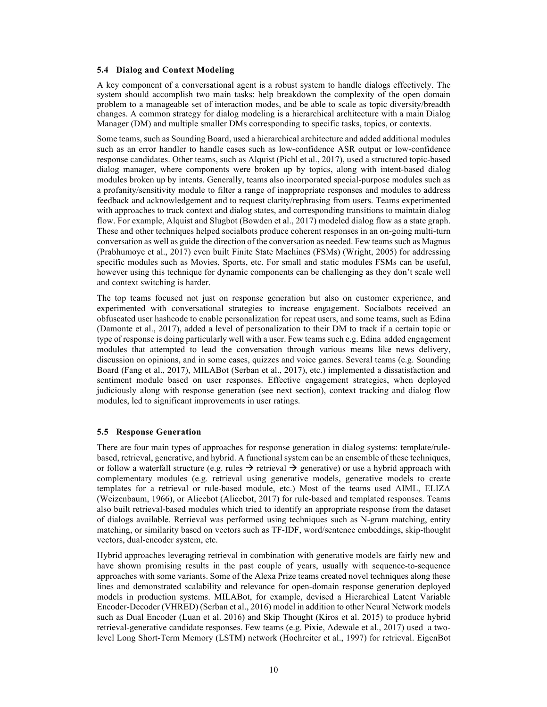#### **5.4 Dialog and Context Modeling**

A key component of a conversational agent is a robust system to handle dialogs effectively. The system should accomplish two main tasks: help breakdown the complexity of the open domain problem to a manageable set of interaction modes, and be able to scale as topic diversity/breadth changes. A common strategy for dialog modeling is a hierarchical architecture with a main Dialog Manager (DM) and multiple smaller DMs corresponding to specific tasks, topics, or contexts.

Some teams, such as Sounding Board, used a hierarchical architecture and added additional modules such as an error handler to handle cases such as low-confidence ASR output or low-confidence response candidates. Other teams, such as Alquist (Pichl et al., 2017), used a structured topic-based dialog manager, where components were broken up by topics, along with intent-based dialog modules broken up by intents. Generally, teams also incorporated special-purpose modules such as a profanity/sensitivity module to filter a range of inappropriate responses and modules to address feedback and acknowledgement and to request clarity/rephrasing from users. Teams experimented with approaches to track context and dialog states, and corresponding transitions to maintain dialog flow. For example, Alquist and Slugbot (Bowden et al., 2017) modeled dialog flow as a state graph. These and other techniques helped socialbots produce coherent responses in an on-going multi-turn conversation as well as guide the direction of the conversation as needed. Few teams such as Magnus (Prabhumoye et al., 2017) even built Finite State Machines (FSMs) (Wright, 2005) for addressing specific modules such as Movies, Sports, etc. For small and static modules FSMs can be useful, however using this technique for dynamic components can be challenging as they don't scale well and context switching is harder.

The top teams focused not just on response generation but also on customer experience, and experimented with conversational strategies to increase engagement. Socialbots received an obfuscated user hashcode to enable personalization for repeat users, and some teams, such as Edina (Damonte et al., 2017), added a level of personalization to their DM to track if a certain topic or type of response is doing particularly well with a user. Few teams such e.g. Edina added engagement modules that attempted to lead the conversation through various means like news delivery, discussion on opinions, and in some cases, quizzes and voice games. Several teams (e.g. Sounding Board (Fang et al., 2017), MILABot (Serban et al., 2017), etc.) implemented a dissatisfaction and sentiment module based on user responses. Effective engagement strategies, when deployed judiciously along with response generation (see next section), context tracking and dialog flow modules, led to significant improvements in user ratings.

### **5.5 Response Generation**

There are four main types of approaches for response generation in dialog systems: template/rulebased, retrieval, generative, and hybrid. A functional system can be an ensemble of these techniques, or follow a waterfall structure (e.g. rules  $\rightarrow$  retrieval  $\rightarrow$  generative) or use a hybrid approach with complementary modules (e.g. retrieval using generative models, generative models to create templates for a retrieval or rule-based module, etc.) Most of the teams used AIML, ELIZA (Weizenbaum, 1966), or Alicebot (Alicebot, 2017) for rule-based and templated responses. Teams also built retrieval-based modules which tried to identify an appropriate response from the dataset of dialogs available. Retrieval was performed using techniques such as N-gram matching, entity matching, or similarity based on vectors such as TF-IDF, word/sentence embeddings, skip-thought vectors, dual-encoder system, etc.

Hybrid approaches leveraging retrieval in combination with generative models are fairly new and have shown promising results in the past couple of years, usually with sequence-to-sequence approaches with some variants. Some of the Alexa Prize teams created novel techniques along these lines and demonstrated scalability and relevance for open-domain response generation deployed models in production systems. MILABot, for example, devised a Hierarchical Latent Variable Encoder-Decoder (VHRED) (Serban et al., 2016) model in addition to other Neural Network models such as Dual Encoder (Luan et al. 2016) and Skip Thought (Kiros et al. 2015) to produce hybrid retrieval-generative candidate responses. Few teams (e.g. Pixie, Adewale et al., 2017) used a twolevel Long Short-Term Memory (LSTM) network (Hochreiter et al., 1997) for retrieval. EigenBot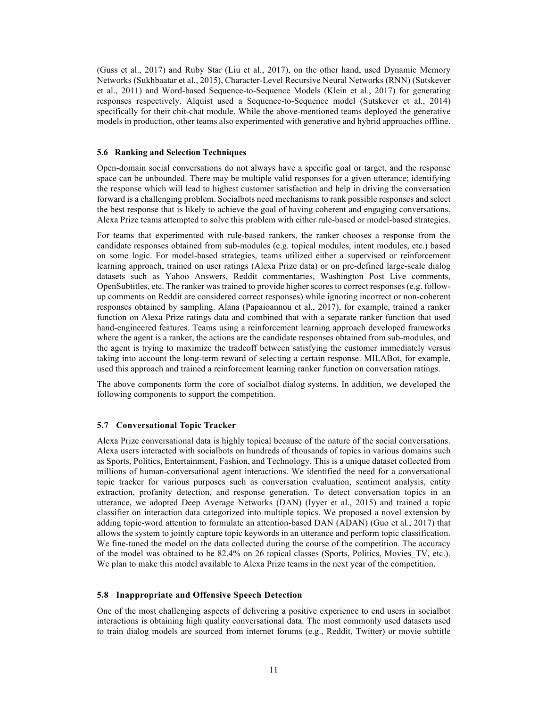(Guss et al., 2017) and Ruby Star (Liu et al., 2017), on the other hand, used Dynamic Memory Networks (Sukhbaatar et al., 2015), Character-Level Recursive Neural Networks (RNN) (Sutskever et al., 2011) and Word-based Sequence-to-Sequence Models (Klein et al., 2017) for generating responses respectively. Alquist used a Sequence-to-Sequence model (Sutskever et al., 2014) specifically for their chit-chat module. While the above-mentioned teams deployed the generative models in production, other teams also experimented with generative and hybrid approaches offline.

#### **5.6 Ranking and Selection Techniques**

Open-domain social conversations do not always have a specific goal or target, and the response space can be unbounded. There may be multiple valid responses for a given utterance; identifying the response which will lead to highest customer satisfaction and help in driving the conversation forward is a challenging problem. Socialbots need mechanisms to rank possible responses and select the best response that is likely to achieve the goal of having coherent and engaging conversations. Alexa Prize teams attempted to solve this problem with either rule-based or model-based strategies.

For teams that experimented with rule-based rankers, the ranker chooses a response from the candidate responses obtained from sub-modules (e.g. topical modules, intent modules, etc.) based on some logic. For model-based strategies, teams utilized either a supervised or reinforcement learning approach, trained on user ratings (Alexa Prize data) or on pre-defined large-scale dialog datasets such as Yahoo Answers, Reddit commentaries, Washington Post Live comments, OpenSubtitles, etc. The ranker was trained to provide higher scores to correct responses (e.g. followup comments on Reddit are considered correct responses) while ignoring incorrect or non-coherent responses obtained by sampling. Alana (Papaioannou et al., 2017), for example, trained a ranker function on Alexa Prize ratings data and combined that with a separate ranker function that used hand-engineered features. Teams using a reinforcement learning approach developed frameworks where the agent is a ranker, the actions are the candidate responses obtained from sub-modules, and the agent is trying to maximize the tradeoff between satisfying the customer immediately versus taking into account the long-term reward of selecting a certain response. MILABot, for example, used this approach and trained a reinforcement learning ranker function on conversation ratings.

The above components form the core of socialbot dialog systems. In addition, we developed the following components to support the competition.

#### **5.7 Conversational Topic Tracker**

Alexa Prize conversational data is highly topical because of the nature of the social conversations. Alexa users interacted with socialbots on hundreds of thousands of topics in various domains such as Sports, Politics, Entertainment, Fashion, and Technology. This is a unique dataset collected from millions of human-conversational agent interactions. We identified the need for a conversational topic tracker for various purposes such as conversation evaluation, sentiment analysis, entity extraction, profanity detection, and response generation. To detect conversation topics in an utterance, we adopted Deep Average Networks (DAN) (Iyyer et al., 2015) and trained a topic classifier on interaction data categorized into multiple topics. We proposed a novel extension by adding topic-word attention to formulate an attention-based DAN (ADAN) (Guo et al., 2017) that allows the system to jointly capture topic keywords in an utterance and perform topic classification. We fine-tuned the model on the data collected during the course of the competition. The accuracy of the model was obtained to be 82.4% on 26 topical classes (Sports, Politics, Movies\_TV, etc.). We plan to make this model available to Alexa Prize teams in the next year of the competition.

### **5.8 Inappropriate and Offensive Speech Detection**

One of the most challenging aspects of delivering a positive experience to end users in socialbot interactions is obtaining high quality conversational data. The most commonly used datasets used to train dialog models are sourced from internet forums (e.g., Reddit, Twitter) or movie subtitle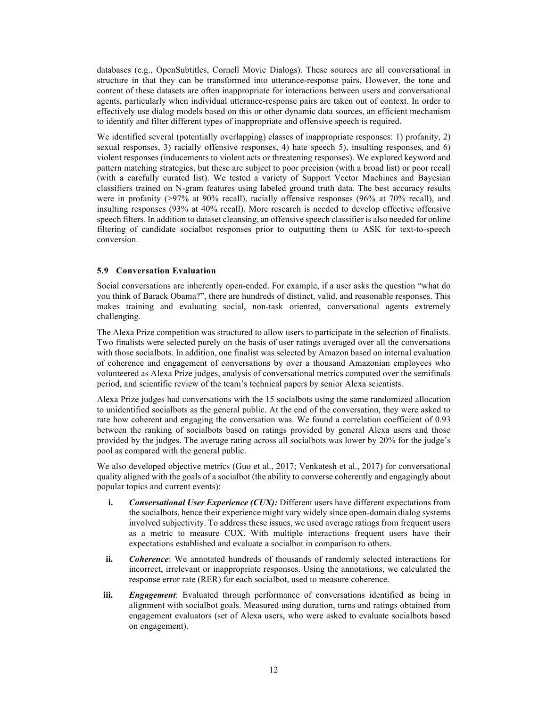databases (e.g., OpenSubtitles, Cornell Movie Dialogs). These sources are all conversational in structure in that they can be transformed into utterance-response pairs. However, the tone and content of these datasets are often inappropriate for interactions between users and conversational agents, particularly when individual utterance-response pairs are taken out of context. In order to effectively use dialog models based on this or other dynamic data sources, an efficient mechanism to identify and filter different types of inappropriate and offensive speech is required.

We identified several (potentially overlapping) classes of inappropriate responses: 1) profanity, 2) sexual responses, 3) racially offensive responses, 4) hate speech 5), insulting responses, and 6) violent responses (inducements to violent acts or threatening responses). We explored keyword and pattern matching strategies, but these are subject to poor precision (with a broad list) or poor recall (with a carefully curated list). We tested a variety of Support Vector Machines and Bayesian classifiers trained on N-gram features using labeled ground truth data. The best accuracy results were in profanity (>97% at 90% recall), racially offensive responses (96% at 70% recall), and insulting responses (93% at 40% recall). More research is needed to develop effective offensive speech filters. In addition to dataset cleansing, an offensive speech classifier is also needed for online filtering of candidate socialbot responses prior to outputting them to ASK for text-to-speech conversion.

### **5.9 Conversation Evaluation**

Social conversations are inherently open-ended. For example, if a user asks the question "what do you think of Barack Obama?", there are hundreds of distinct, valid, and reasonable responses. This makes training and evaluating social, non-task oriented, conversational agents extremely challenging.

The Alexa Prize competition was structured to allow users to participate in the selection of finalists. Two finalists were selected purely on the basis of user ratings averaged over all the conversations with those socialbots. In addition, one finalist was selected by Amazon based on internal evaluation of coherence and engagement of conversations by over a thousand Amazonian employees who volunteered as Alexa Prize judges, analysis of conversational metrics computed over the semifinals period, and scientific review of the team's technical papers by senior Alexa scientists.

Alexa Prize judges had conversations with the 15 socialbots using the same randomized allocation to unidentified socialbots as the general public. At the end of the conversation, they were asked to rate how coherent and engaging the conversation was. We found a correlation coefficient of 0.93 between the ranking of socialbots based on ratings provided by general Alexa users and those provided by the judges. The average rating across all socialbots was lower by 20% for the judge's pool as compared with the general public.

We also developed objective metrics (Guo et al., 2017; Venkatesh et al., 2017) for conversational quality aligned with the goals of a socialbot (the ability to converse coherently and engagingly about popular topics and current events):

- **i.** *Conversational User Experience (CUX):* Different users have different expectations from the socialbots, hence their experience might vary widely since open-domain dialog systems involved subjectivity. To address these issues, we used average ratings from frequent users as a metric to measure CUX. With multiple interactions frequent users have their expectations established and evaluate a socialbot in comparison to others.
- **ii.** *Coherence*: We annotated hundreds of thousands of randomly selected interactions for incorrect, irrelevant or inappropriate responses. Using the annotations, we calculated the response error rate (RER) for each socialbot, used to measure coherence.
- **iii.** *Engagement*: Evaluated through performance of conversations identified as being in alignment with socialbot goals. Measured using duration, turns and ratings obtained from engagement evaluators (set of Alexa users, who were asked to evaluate socialbots based on engagement).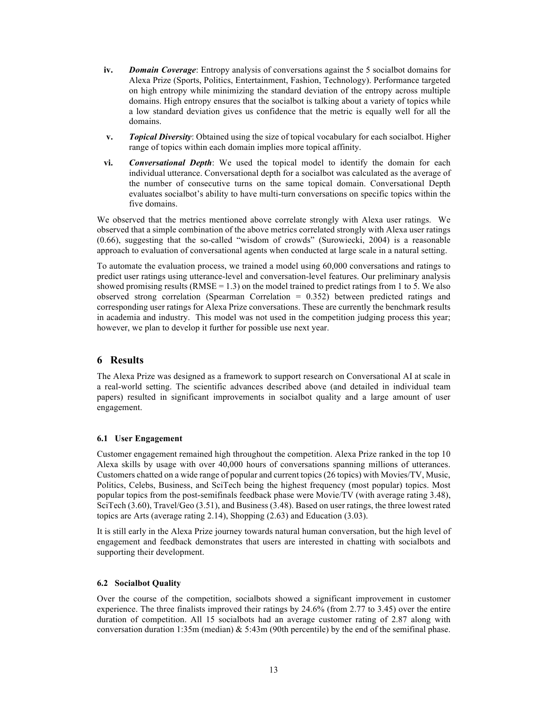- **iv.** *Domain Coverage*: Entropy analysis of conversations against the 5 socialbot domains for Alexa Prize (Sports, Politics, Entertainment, Fashion, Technology). Performance targeted on high entropy while minimizing the standard deviation of the entropy across multiple domains. High entropy ensures that the socialbot is talking about a variety of topics while a low standard deviation gives us confidence that the metric is equally well for all the domains.
- **v.** *Topical Diversity*: Obtained using the size of topical vocabulary for each socialbot. Higher range of topics within each domain implies more topical affinity.
- **vi.** *Conversational Depth*: We used the topical model to identify the domain for each individual utterance. Conversational depth for a socialbot was calculated as the average of the number of consecutive turns on the same topical domain. Conversational Depth evaluates socialbot's ability to have multi-turn conversations on specific topics within the five domains.

We observed that the metrics mentioned above correlate strongly with Alexa user ratings. We observed that a simple combination of the above metrics correlated strongly with Alexa user ratings (0.66), suggesting that the so-called "wisdom of crowds" (Surowiecki, 2004) is a reasonable approach to evaluation of conversational agents when conducted at large scale in a natural setting.

To automate the evaluation process, we trained a model using 60,000 conversations and ratings to predict user ratings using utterance-level and conversation-level features. Our preliminary analysis showed promising results (RMSE =  $1.3$ ) on the model trained to predict ratings from 1 to 5. We also observed strong correlation (Spearman Correlation = 0.352) between predicted ratings and corresponding user ratings for Alexa Prize conversations. These are currently the benchmark results in academia and industry. This model was not used in the competition judging process this year; however, we plan to develop it further for possible use next year.

### **6 Results**

The Alexa Prize was designed as a framework to support research on Conversational AI at scale in a real-world setting. The scientific advances described above (and detailed in individual team papers) resulted in significant improvements in socialbot quality and a large amount of user engagement.

### **6.1 User Engagement**

Customer engagement remained high throughout the competition. Alexa Prize ranked in the top 10 Alexa skills by usage with over 40,000 hours of conversations spanning millions of utterances. Customers chatted on a wide range of popular and current topics (26 topics) with Movies/TV, Music, Politics, Celebs, Business, and SciTech being the highest frequency (most popular) topics. Most popular topics from the post-semifinals feedback phase were Movie/TV (with average rating 3.48), SciTech (3.60), Travel/Geo (3.51), and Business (3.48). Based on user ratings, the three lowest rated topics are Arts (average rating 2.14), Shopping (2.63) and Education (3.03).

It is still early in the Alexa Prize journey towards natural human conversation, but the high level of engagement and feedback demonstrates that users are interested in chatting with socialbots and supporting their development.

### **6.2 Socialbot Quality**

Over the course of the competition, socialbots showed a significant improvement in customer experience. The three finalists improved their ratings by 24.6% (from 2.77 to 3.45) over the entire duration of competition. All 15 socialbots had an average customer rating of 2.87 along with conversation duration 1:35m (median)  $\&$  5:43m (90th percentile) by the end of the semifinal phase.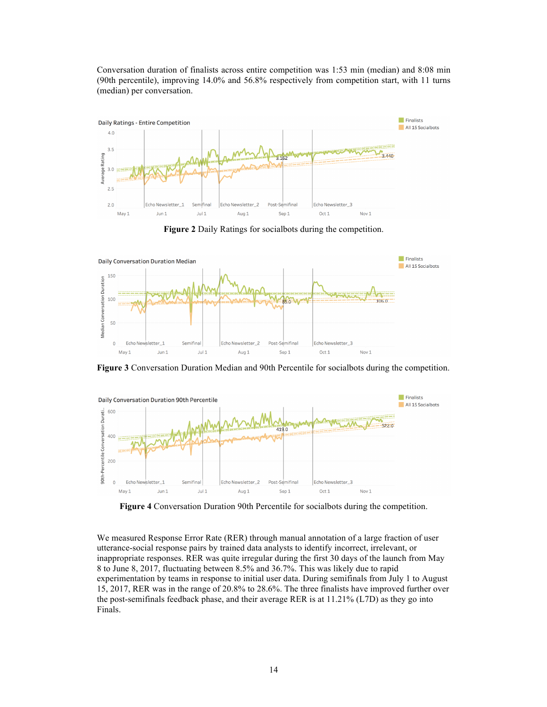Conversation duration of finalists across entire competition was 1:53 min (median) and 8:08 min (90th percentile), improving 14.0% and 56.8% respectively from competition start, with 11 turns (median) per conversation.



**Figure 2** Daily Ratings for socialbots during the competition.



**Figure 3** Conversation Duration Median and 90th Percentile for socialbots during the competition.



**Figure 4** Conversation Duration 90th Percentile for socialbots during the competition.

We measured Response Error Rate (RER) through manual annotation of a large fraction of user utterance-social response pairs by trained data analysts to identify incorrect, irrelevant, or inappropriate responses. RER was quite irregular during the first 30 days of the launch from May 8 to June 8, 2017, fluctuating between 8.5% and 36.7%. This was likely due to rapid experimentation by teams in response to initial user data. During semifinals from July 1 to August 15, 2017, RER was in the range of 20.8% to 28.6%. The three finalists have improved further over the post-semifinals feedback phase, and their average RER is at 11.21% (L7D) as they go into Finals.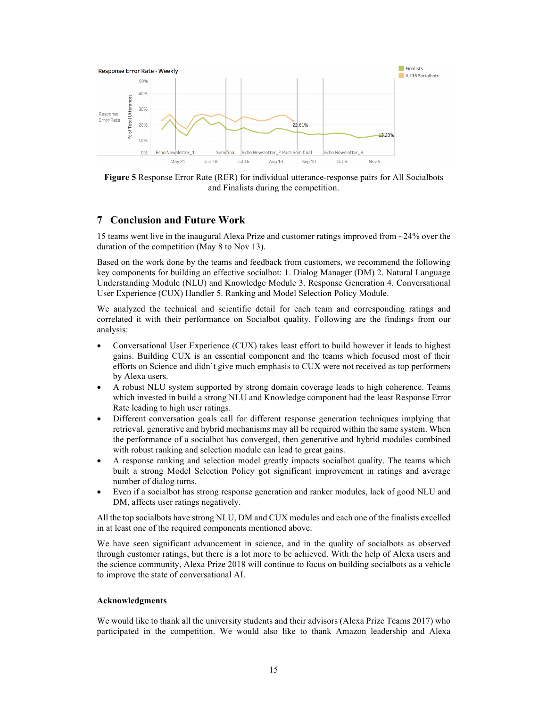

**Figure 5** Response Error Rate (RER) for individual utterance-response pairs for All Socialbots and Finalists during the competition.

# **7 Conclusion and Future Work**

15 teams went live in the inaugural Alexa Prize and customer ratings improved from ~24% over the duration of the competition (May 8 to Nov 13).

Based on the work done by the teams and feedback from customers, we recommend the following key components for building an effective socialbot: 1. Dialog Manager (DM) 2. Natural Language Understanding Module (NLU) and Knowledge Module 3. Response Generation 4. Conversational User Experience (CUX) Handler 5. Ranking and Model Selection Policy Module.

We analyzed the technical and scientific detail for each team and corresponding ratings and correlated it with their performance on Socialbot quality. Following are the findings from our analysis:

- Conversational User Experience (CUX) takes least effort to build however it leads to highest gains. Building CUX is an essential component and the teams which focused most of their efforts on Science and didn't give much emphasis to CUX were not received as top performers by Alexa users.
- A robust NLU system supported by strong domain coverage leads to high coherence. Teams which invested in build a strong NLU and Knowledge component had the least Response Error Rate leading to high user ratings.
- Different conversation goals call for different response generation techniques implying that retrieval, generative and hybrid mechanisms may all be required within the same system. When the performance of a socialbot has converged, then generative and hybrid modules combined with robust ranking and selection module can lead to great gains.
- A response ranking and selection model greatly impacts socialbot quality. The teams which built a strong Model Selection Policy got significant improvement in ratings and average number of dialog turns.
- Even if a socialbot has strong response generation and ranker modules, lack of good NLU and DM, affects user ratings negatively.

All the top socialbots have strong NLU, DM and CUX modules and each one of the finalists excelled in at least one of the required components mentioned above.

We have seen significant advancement in science, and in the quality of socialbots as observed through customer ratings, but there is a lot more to be achieved. With the help of Alexa users and the science community, Alexa Prize 2018 will continue to focus on building socialbots as a vehicle to improve the state of conversational AI.

### **Acknowledgments**

We would like to thank all the university students and their advisors (Alexa Prize Teams 2017) who participated in the competition. We would also like to thank Amazon leadership and Alexa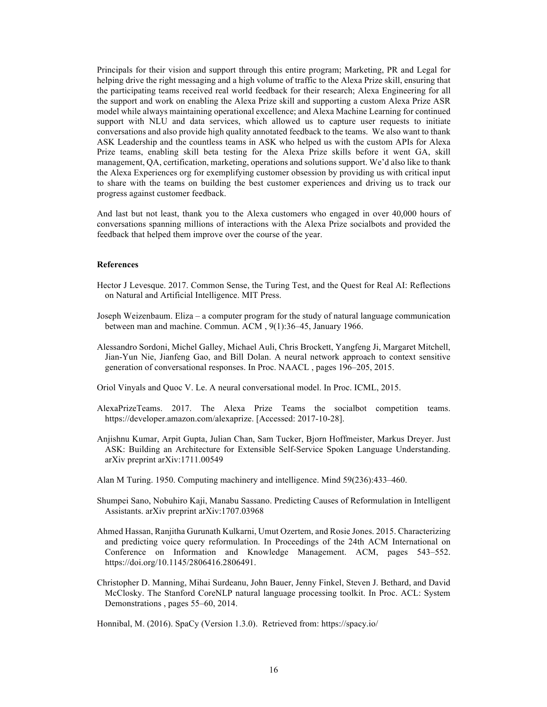Principals for their vision and support through this entire program; Marketing, PR and Legal for helping drive the right messaging and a high volume of traffic to the Alexa Prize skill, ensuring that the participating teams received real world feedback for their research; Alexa Engineering for all the support and work on enabling the Alexa Prize skill and supporting a custom Alexa Prize ASR model while always maintaining operational excellence; and Alexa Machine Learning for continued support with NLU and data services, which allowed us to capture user requests to initiate conversations and also provide high quality annotated feedback to the teams. We also want to thank ASK Leadership and the countless teams in ASK who helped us with the custom APIs for Alexa Prize teams, enabling skill beta testing for the Alexa Prize skills before it went GA, skill management, QA, certification, marketing, operations and solutions support. We'd also like to thank the Alexa Experiences org for exemplifying customer obsession by providing us with critical input to share with the teams on building the best customer experiences and driving us to track our progress against customer feedback.

And last but not least, thank you to the Alexa customers who engaged in over 40,000 hours of conversations spanning millions of interactions with the Alexa Prize socialbots and provided the feedback that helped them improve over the course of the year.

### **References**

- Hector J Levesque. 2017. Common Sense, the Turing Test, and the Quest for Real AI: Reflections on Natural and Artificial Intelligence. MIT Press.
- Joseph Weizenbaum. Eliza a computer program for the study of natural language communication between man and machine. Commun. ACM , 9(1):36–45, January 1966.
- Alessandro Sordoni, Michel Galley, Michael Auli, Chris Brockett, Yangfeng Ji, Margaret Mitchell, Jian-Yun Nie, Jianfeng Gao, and Bill Dolan. A neural network approach to context sensitive generation of conversational responses. In Proc. NAACL , pages 196–205, 2015.
- Oriol Vinyals and Quoc V. Le. A neural conversational model. In Proc. ICML, 2015.
- AlexaPrizeTeams. 2017. The Alexa Prize Teams the socialbot competition teams. https://developer.amazon.com/alexaprize. [Accessed: 2017-10-28].
- Anjishnu Kumar, Arpit Gupta, Julian Chan, Sam Tucker, Bjorn Hoffmeister, Markus Dreyer. Just ASK: Building an Architecture for Extensible Self-Service Spoken Language Understanding. arXiv preprint arXiv:1711.00549
- Alan M Turing. 1950. Computing machinery and intelligence. Mind 59(236):433–460.
- Shumpei Sano, Nobuhiro Kaji, Manabu Sassano. Predicting Causes of Reformulation in Intelligent Assistants. arXiv preprint arXiv:1707.03968
- Ahmed Hassan, Ranjitha Gurunath Kulkarni, Umut Ozertem, and Rosie Jones. 2015. Characterizing and predicting voice query reformulation. In Proceedings of the 24th ACM International on Conference on Information and Knowledge Management. ACM, pages 543–552. https://doi.org/10.1145/2806416.2806491.
- Christopher D. Manning, Mihai Surdeanu, John Bauer, Jenny Finkel, Steven J. Bethard, and David McClosky. The Stanford CoreNLP natural language processing toolkit. In Proc. ACL: System Demonstrations , pages 55–60, 2014.

Honnibal, M. (2016). SpaCy (Version 1.3.0). Retrieved from: https://spacy.io/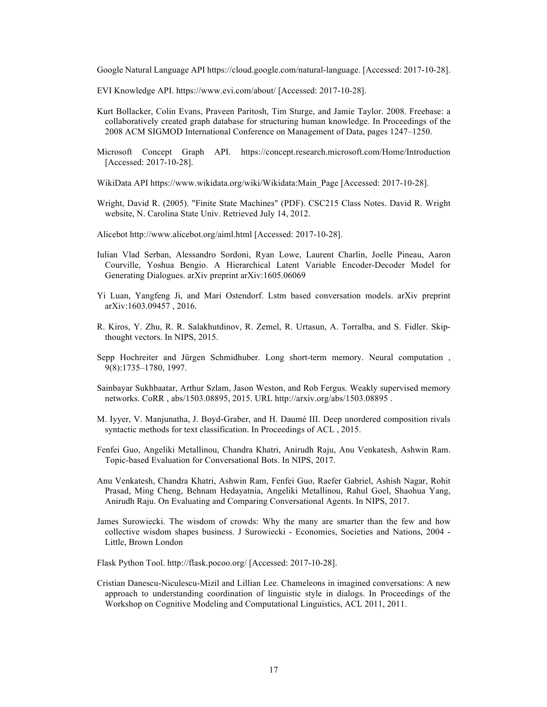Google Natural Language API https://cloud.google.com/natural-language. [Accessed: 2017-10-28].

EVI Knowledge API. https://www.evi.com/about/ [Accessed: 2017-10-28].

- Kurt Bollacker, Colin Evans, Praveen Paritosh, Tim Sturge, and Jamie Taylor. 2008. Freebase: a collaboratively created graph database for structuring human knowledge. In Proceedings of the 2008 ACM SIGMOD International Conference on Management of Data, pages 1247–1250.
- Microsoft Concept Graph API. https://concept.research.microsoft.com/Home/Introduction [Accessed: 2017-10-28].
- WikiData API https://www.wikidata.org/wiki/Wikidata:Main\_Page [Accessed: 2017-10-28].
- Wright, David R. (2005). "Finite State Machines" (PDF). CSC215 Class Notes. David R. Wright website, N. Carolina State Univ. Retrieved July 14, 2012.
- Alicebot http://www.alicebot.org/aiml.html [Accessed: 2017-10-28].
- Iulian Vlad Serban, Alessandro Sordoni, Ryan Lowe, Laurent Charlin, Joelle Pineau, Aaron Courville, Yoshua Bengio. A Hierarchical Latent Variable Encoder-Decoder Model for Generating Dialogues. arXiv preprint arXiv:1605.06069
- Yi Luan, Yangfeng Ji, and Mari Ostendorf. Lstm based conversation models. arXiv preprint arXiv:1603.09457 , 2016.
- R. Kiros, Y. Zhu, R. R. Salakhutdinov, R. Zemel, R. Urtasun, A. Torralba, and S. Fidler. Skipthought vectors. In NIPS, 2015.
- Sepp Hochreiter and Jürgen Schmidhuber. Long short-term memory. Neural computation , 9(8):1735–1780, 1997.
- Sainbayar Sukhbaatar, Arthur Szlam, Jason Weston, and Rob Fergus. Weakly supervised memory networks. CoRR , abs/1503.08895, 2015. URL http://arxiv.org/abs/1503.08895 .
- M. Iyyer, V. Manjunatha, J. Boyd-Graber, and H. Daumé III. Deep unordered composition rivals syntactic methods for text classification. In Proceedings of ACL , 2015.
- Fenfei Guo, Angeliki Metallinou, Chandra Khatri, Anirudh Raju, Anu Venkatesh, Ashwin Ram. Topic-based Evaluation for Conversational Bots. In NIPS, 2017.
- Anu Venkatesh, Chandra Khatri, Ashwin Ram, Fenfei Guo, Raefer Gabriel, Ashish Nagar, Rohit Prasad, Ming Cheng, Behnam Hedayatnia, Angeliki Metallinou, Rahul Goel, Shaohua Yang, Anirudh Raju. On Evaluating and Comparing Conversational Agents. In NIPS, 2017.
- James Surowiecki. The wisdom of crowds: Why the many are smarter than the few and how collective wisdom shapes business. J Surowiecki - Economies, Societies and Nations, 2004 - Little, Brown London
- Flask Python Tool. http://flask.pocoo.org/ [Accessed: 2017-10-28].
- Cristian Danescu-Niculescu-Mizil and Lillian Lee. Chameleons in imagined conversations: A new approach to understanding coordination of linguistic style in dialogs. In Proceedings of the Workshop on Cognitive Modeling and Computational Linguistics, ACL 2011, 2011.